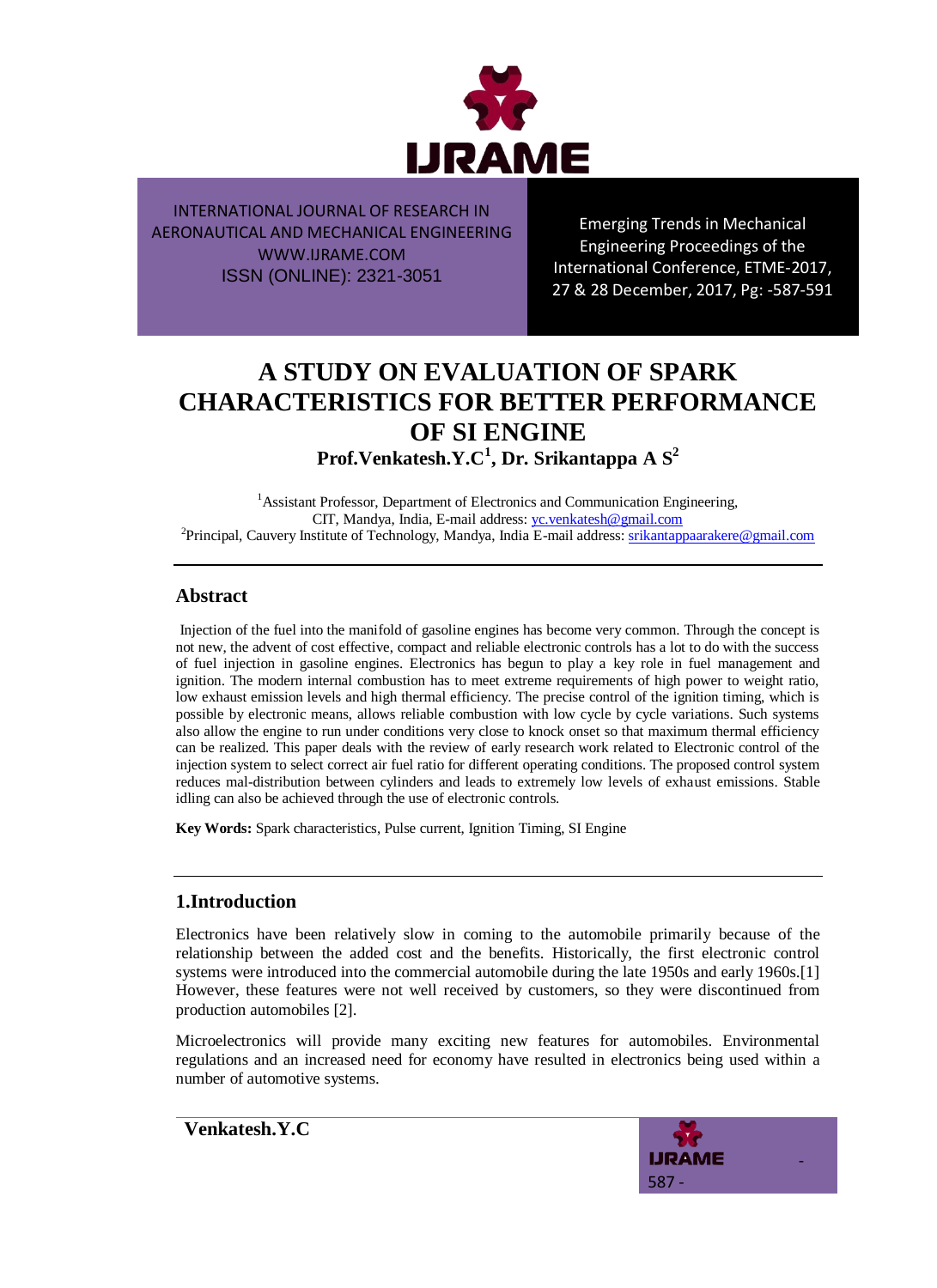

Emerging Trends in Mechanical Engineering Proceedings of the International Conference, ETME-2017, 27 & 28 December, 2017, Pg: -587-591

# **A STUDY ON EVALUATION OF SPARK CHARACTERISTICS FOR BETTER PERFORMANCE OF SI ENGINE Prof.Venkatesh.Y.C<sup>1</sup> , Dr. Srikantappa A S<sup>2</sup>**

<sup>1</sup> Assistant Professor, Department of Electronics and Communication Engineering, CIT, Mandya, India, E-mail address[: yc.venkatesh@gmail.com](mailto:yc.venkatesh@gmail.com) <sup>2</sup> Principal, Cauvery Institute of Technology, Mandya, India E-mail address[: srikantappaarakere@gmail.com](mailto:srikantappaarakere@gmail.com)

### **Abstract**

Injection of the fuel into the manifold of gasoline engines has become very common. Through the concept is not new, the advent of cost effective, compact and reliable electronic controls has a lot to do with the success of fuel injection in gasoline engines. Electronics has begun to play a key role in fuel management and ignition. The modern internal combustion has to meet extreme requirements of high power to weight ratio, low exhaust emission levels and high thermal efficiency. The precise control of the ignition timing, which is possible by electronic means, allows reliable combustion with low cycle by cycle variations. Such systems also allow the engine to run under conditions very close to knock onset so that maximum thermal efficiency can be realized. This paper deals with the review of early research work related to Electronic control of the injection system to select correct air fuel ratio for different operating conditions. The proposed control system reduces mal-distribution between cylinders and leads to extremely low levels of exhaust emissions. Stable idling can also be achieved through the use of electronic controls.

**Key Words:** Spark characteristics, Pulse current, Ignition Timing, SI Engine

#### **1.Introduction**

Electronics have been relatively slow in coming to the automobile primarily because of the relationship between the added cost and the benefits. Historically, the first electronic control systems were introduced into the commercial automobile during the late 1950s and early 1960s.[1] However, these features were not well received by customers, so they were discontinued from production automobiles [2].

Microelectronics will provide many exciting new features for automobiles. Environmental regulations and an increased need for economy have resulted in electronics being used within a number of automotive systems.



**Venkatesh.Y.C**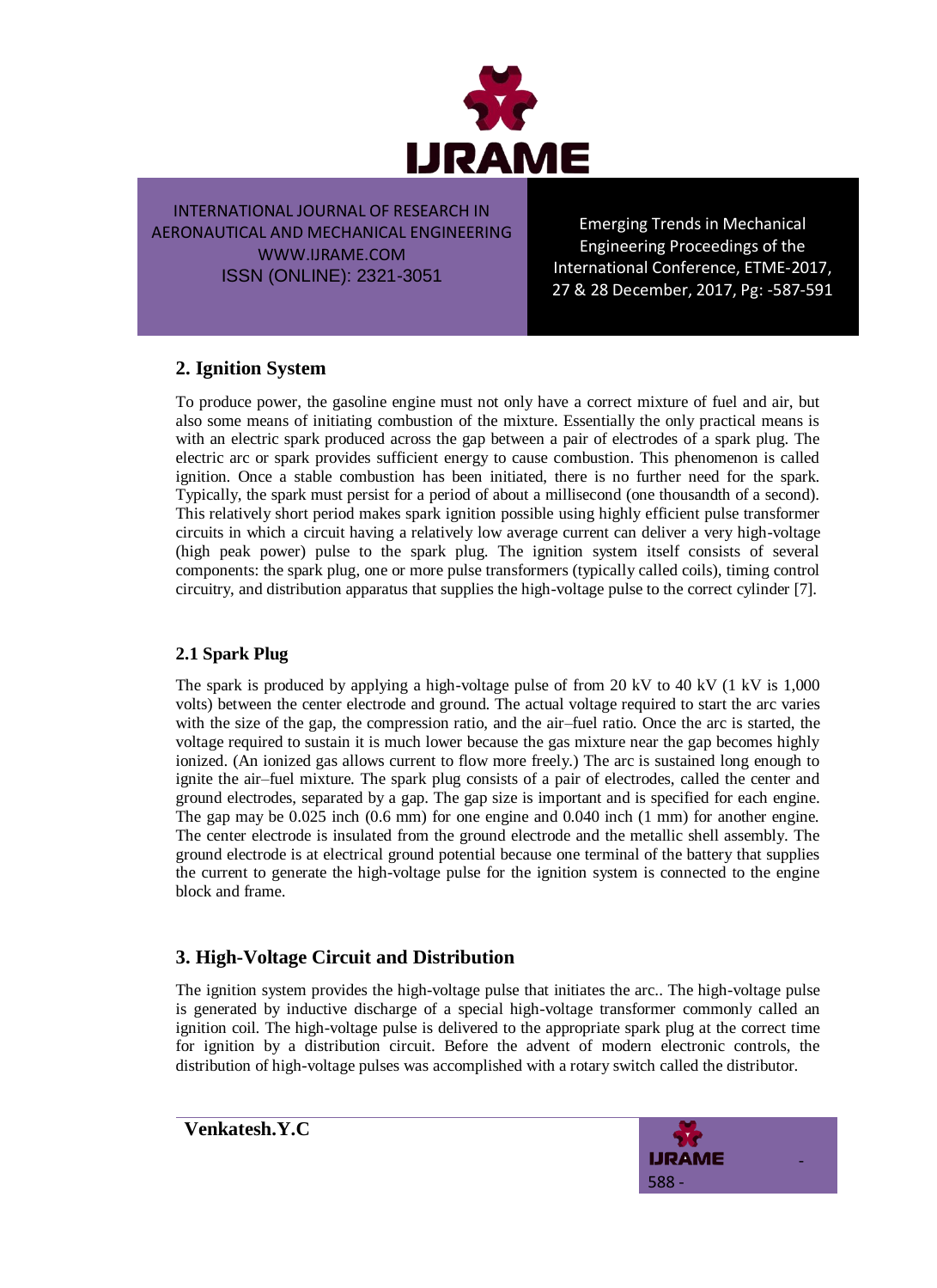

Emerging Trends in Mechanical Engineering Proceedings of the International Conference, ETME-2017, 27 & 28 December, 2017, Pg: -587-591

## **2. Ignition System**

To produce power, the gasoline engine must not only have a correct mixture of fuel and air, but also some means of initiating combustion of the mixture. Essentially the only practical means is with an electric spark produced across the gap between a pair of electrodes of a spark plug. The electric arc or spark provides sufficient energy to cause combustion. This phenomenon is called ignition. Once a stable combustion has been initiated, there is no further need for the spark. Typically, the spark must persist for a period of about a millisecond (one thousandth of a second). This relatively short period makes spark ignition possible using highly efficient pulse transformer circuits in which a circuit having a relatively low average current can deliver a very high-voltage (high peak power) pulse to the spark plug. The ignition system itself consists of several components: the spark plug, one or more pulse transformers (typically called coils), timing control circuitry, and distribution apparatus that supplies the high-voltage pulse to the correct cylinder [7].

## **2.1 Spark Plug**

The spark is produced by applying a high-voltage pulse of from 20 kV to 40 kV (1 kV is 1,000 volts) between the center electrode and ground. The actual voltage required to start the arc varies with the size of the gap, the compression ratio, and the air–fuel ratio. Once the arc is started, the voltage required to sustain it is much lower because the gas mixture near the gap becomes highly ionized. (An ionized gas allows current to flow more freely.) The arc is sustained long enough to ignite the air–fuel mixture. The spark plug consists of a pair of electrodes, called the center and ground electrodes, separated by a gap. The gap size is important and is specified for each engine. The gap may be 0.025 inch (0.6 mm) for one engine and 0.040 inch (1 mm) for another engine. The center electrode is insulated from the ground electrode and the metallic shell assembly. The ground electrode is at electrical ground potential because one terminal of the battery that supplies the current to generate the high-voltage pulse for the ignition system is connected to the engine block and frame.

## **3. High-Voltage Circuit and Distribution**

The ignition system provides the high-voltage pulse that initiates the arc.. The high-voltage pulse is generated by inductive discharge of a special high-voltage transformer commonly called an ignition coil. The high-voltage pulse is delivered to the appropriate spark plug at the correct time for ignition by a distribution circuit. Before the advent of modern electronic controls, the distribution of high-voltage pulses was accomplished with a rotary switch called the distributor.

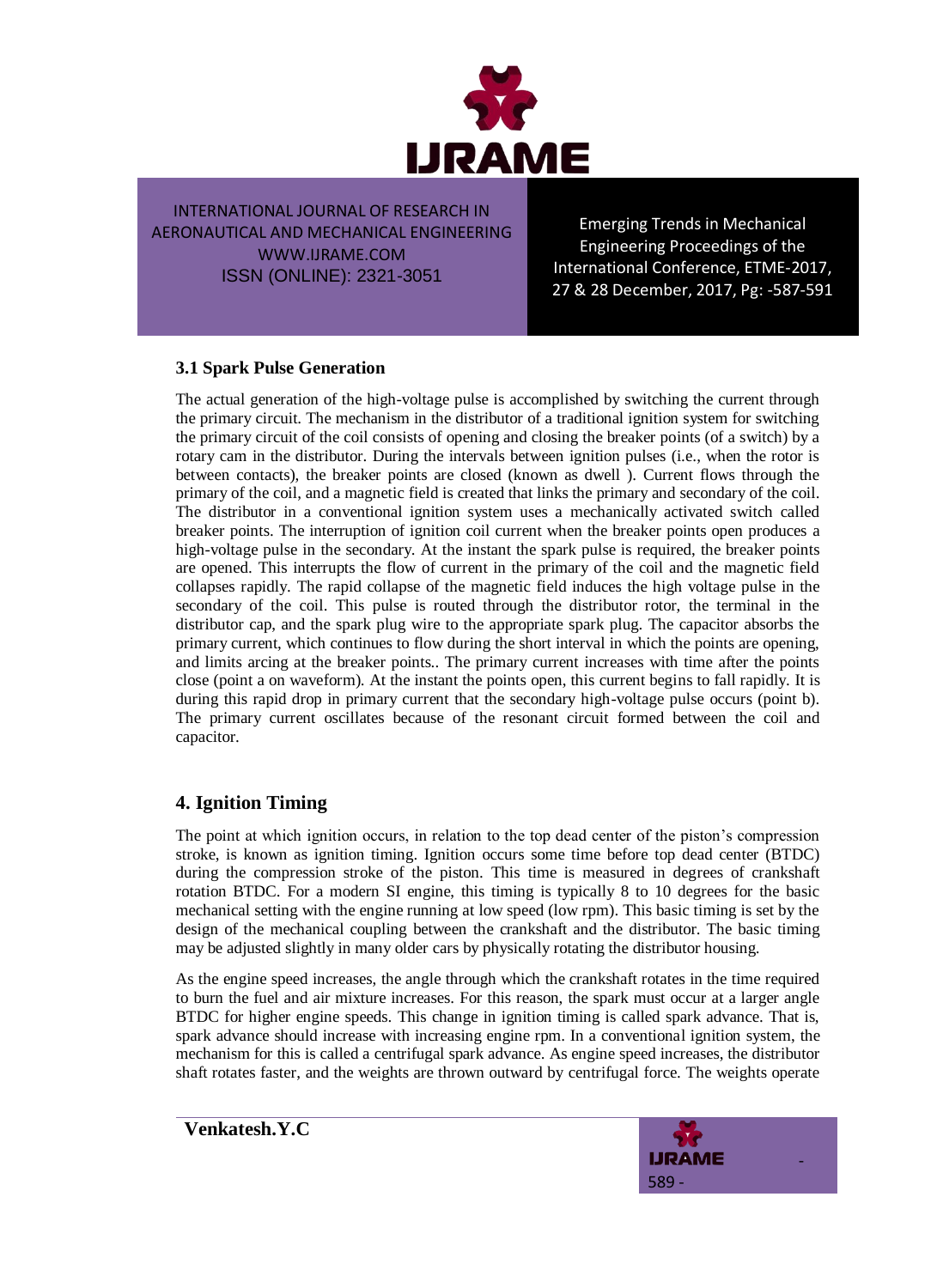

Emerging Trends in Mechanical Engineering Proceedings of the International Conference, ETME-2017, 27 & 28 December, 2017, Pg: -587-591

### **3.1 Spark Pulse Generation**

The actual generation of the high-voltage pulse is accomplished by switching the current through the primary circuit. The mechanism in the distributor of a traditional ignition system for switching the primary circuit of the coil consists of opening and closing the breaker points (of a switch) by a rotary cam in the distributor. During the intervals between ignition pulses (i.e., when the rotor is between contacts), the breaker points are closed (known as dwell ). Current flows through the primary of the coil, and a magnetic field is created that links the primary and secondary of the coil. The distributor in a conventional ignition system uses a mechanically activated switch called breaker points. The interruption of ignition coil current when the breaker points open produces a high-voltage pulse in the secondary. At the instant the spark pulse is required, the breaker points are opened. This interrupts the flow of current in the primary of the coil and the magnetic field collapses rapidly. The rapid collapse of the magnetic field induces the high voltage pulse in the secondary of the coil. This pulse is routed through the distributor rotor, the terminal in the distributor cap, and the spark plug wire to the appropriate spark plug. The capacitor absorbs the primary current, which continues to flow during the short interval in which the points are opening, and limits arcing at the breaker points.. The primary current increases with time after the points close (point a on waveform). At the instant the points open, this current begins to fall rapidly. It is during this rapid drop in primary current that the secondary high-voltage pulse occurs (point b). The primary current oscillates because of the resonant circuit formed between the coil and capacitor.

## **4. Ignition Timing**

The point at which ignition occurs, in relation to the top dead center of the piston's compression stroke, is known as ignition timing. Ignition occurs some time before top dead center (BTDC) during the compression stroke of the piston. This time is measured in degrees of crankshaft rotation BTDC. For a modern SI engine, this timing is typically 8 to 10 degrees for the basic mechanical setting with the engine running at low speed (low rpm). This basic timing is set by the design of the mechanical coupling between the crankshaft and the distributor. The basic timing may be adjusted slightly in many older cars by physically rotating the distributor housing.

As the engine speed increases, the angle through which the crankshaft rotates in the time required to burn the fuel and air mixture increases. For this reason, the spark must occur at a larger angle BTDC for higher engine speeds. This change in ignition timing is called spark advance. That is, spark advance should increase with increasing engine rpm. In a conventional ignition system, the mechanism for this is called a centrifugal spark advance. As engine speed increases, the distributor shaft rotates faster, and the weights are thrown outward by centrifugal force. The weights operate



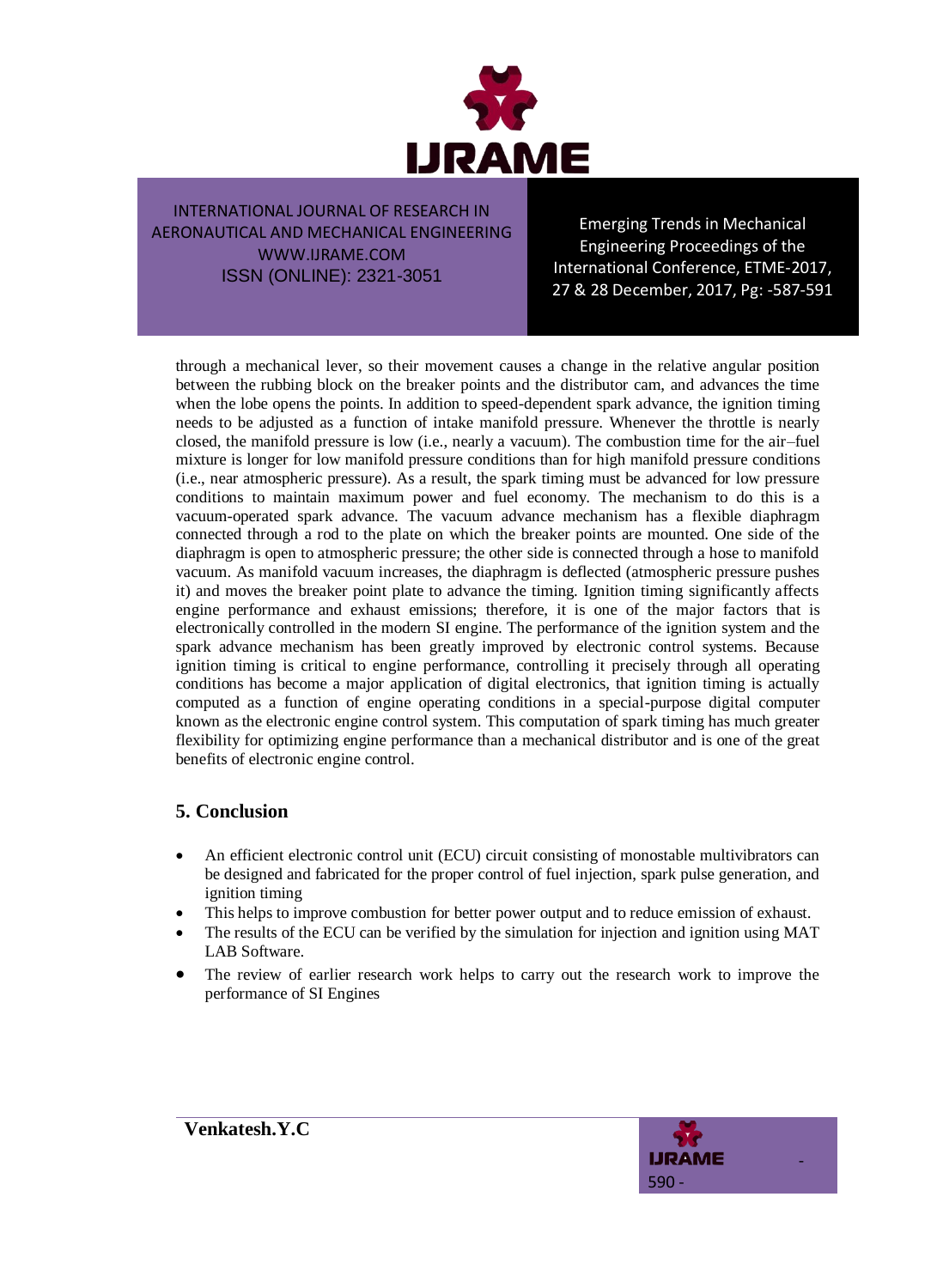

Emerging Trends in Mechanical Engineering Proceedings of the International Conference, ETME-2017, 27 & 28 December, 2017, Pg: -587-591

through a mechanical lever, so their movement causes a change in the relative angular position between the rubbing block on the breaker points and the distributor cam, and advances the time when the lobe opens the points. In addition to speed-dependent spark advance, the ignition timing needs to be adjusted as a function of intake manifold pressure. Whenever the throttle is nearly closed, the manifold pressure is low (i.e., nearly a vacuum). The combustion time for the air–fuel mixture is longer for low manifold pressure conditions than for high manifold pressure conditions (i.e., near atmospheric pressure). As a result, the spark timing must be advanced for low pressure conditions to maintain maximum power and fuel economy. The mechanism to do this is a vacuum-operated spark advance. The vacuum advance mechanism has a flexible diaphragm connected through a rod to the plate on which the breaker points are mounted. One side of the diaphragm is open to atmospheric pressure; the other side is connected through a hose to manifold vacuum. As manifold vacuum increases, the diaphragm is deflected (atmospheric pressure pushes it) and moves the breaker point plate to advance the timing. Ignition timing significantly affects engine performance and exhaust emissions; therefore, it is one of the major factors that is electronically controlled in the modern SI engine. The performance of the ignition system and the spark advance mechanism has been greatly improved by electronic control systems. Because ignition timing is critical to engine performance, controlling it precisely through all operating conditions has become a major application of digital electronics, that ignition timing is actually computed as a function of engine operating conditions in a special-purpose digital computer known as the electronic engine control system. This computation of spark timing has much greater flexibility for optimizing engine performance than a mechanical distributor and is one of the great benefits of electronic engine control.

## **5. Conclusion**

- An efficient electronic control unit (ECU) circuit consisting of monostable multivibrators can be designed and fabricated for the proper control of fuel injection, spark pulse generation, and ignition timing
- This helps to improve combustion for better power output and to reduce emission of exhaust.
- The results of the ECU can be verified by the simulation for injection and ignition using MAT LAB Software.
- The review of earlier research work helps to carry out the research work to improve the performance of SI Engines